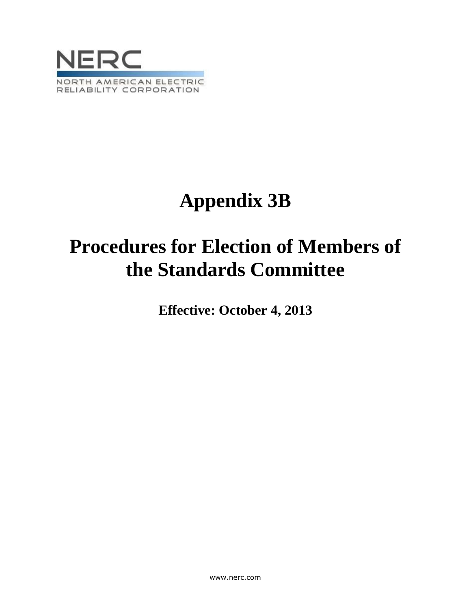

# **Appendix 3B**

## **Procedures for Election of Members of the Standards Committee**

**Effective: October 4, 2013**

www.nerc.com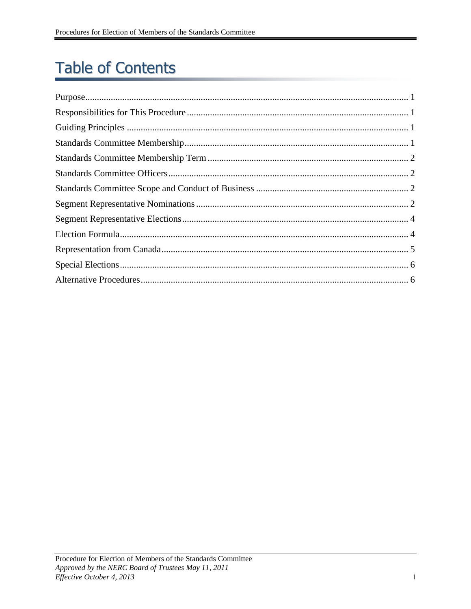### **Table of Contents**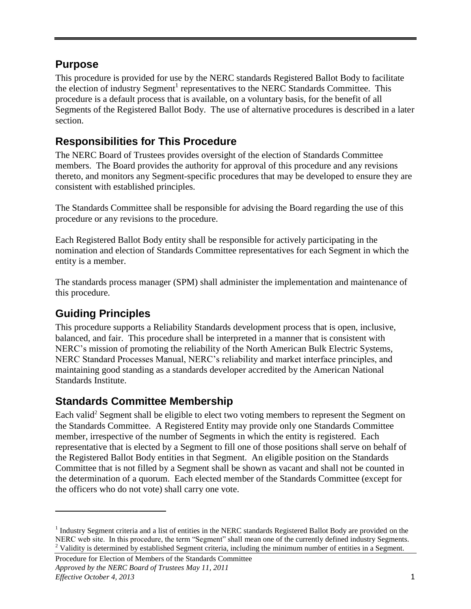#### <span id="page-2-0"></span>**Purpose**

This procedure is provided for use by the NERC standards Registered Ballot Body to facilitate the election of industry Segment<sup>1</sup> representatives to the NERC Standards Committee. This procedure is a default process that is available, on a voluntary basis, for the benefit of all Segments of the Registered Ballot Body. The use of alternative procedures is described in a later section.

#### <span id="page-2-1"></span>**Responsibilities for This Procedure**

The NERC Board of Trustees provides oversight of the election of Standards Committee members. The Board provides the authority for approval of this procedure and any revisions thereto, and monitors any Segment-specific procedures that may be developed to ensure they are consistent with established principles.

The Standards Committee shall be responsible for advising the Board regarding the use of this procedure or any revisions to the procedure.

Each Registered Ballot Body entity shall be responsible for actively participating in the nomination and election of Standards Committee representatives for each Segment in which the entity is a member.

The standards process manager (SPM) shall administer the implementation and maintenance of this procedure.

### <span id="page-2-2"></span>**Guiding Principles**

 $\overline{a}$ 

This procedure supports a Reliability Standards development process that is open, inclusive, balanced, and fair. This procedure shall be interpreted in a manner that is consistent with NERC's mission of promoting the reliability of the North American Bulk Electric Systems, NERC Standard Processes Manual, NERC's reliability and market interface principles, and maintaining good standing as a standards developer accredited by the American National Standards Institute.

#### <span id="page-2-3"></span>**Standards Committee Membership**

Each valid<sup>2</sup> Segment shall be eligible to elect two voting members to represent the Segment on the Standards Committee. A Registered Entity may provide only one Standards Committee member, irrespective of the number of Segments in which the entity is registered. Each representative that is elected by a Segment to fill one of those positions shall serve on behalf of the Registered Ballot Body entities in that Segment. An eligible position on the Standards Committee that is not filled by a Segment shall be shown as vacant and shall not be counted in the determination of a quorum. Each elected member of the Standards Committee (except for the officers who do not vote) shall carry one vote.

<sup>&</sup>lt;sup>1</sup> Industry Segment criteria and a list of entities in the NERC standards Registered Ballot Body are provided [on](../../../../omacbrid/Local%20Settings/Temporary%20Internet%20Files/OLK224/on) the NERC web site. In this procedure, the term "Segment" shall mean one of the currently defined industry Segments. <sup>2</sup> Validity is determined by established Segment criteria, including the minimum number of entities in a Segment.

Procedure for Election of Members of the Standards Committee *Approved by the NERC Board of Trustees May 11, 2011 Effective October 4, 2013* 1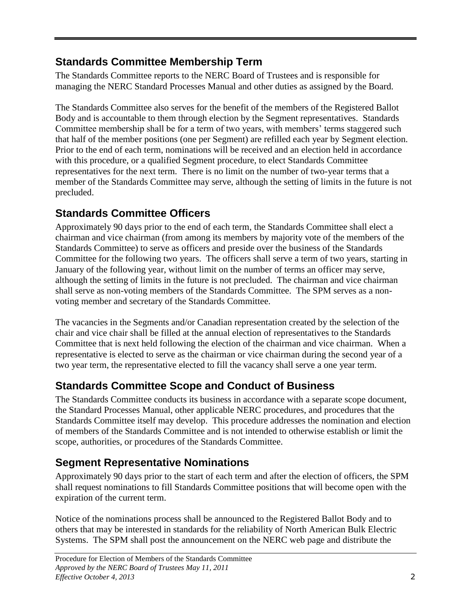#### <span id="page-3-0"></span>**Standards Committee Membership Term**

The Standards Committee reports to the NERC Board of Trustees and is responsible for managing the NERC Standard Processes Manual and other duties as assigned by the Board.

The Standards Committee also serves for the benefit of the members of the Registered Ballot Body and is accountable to them through election by the Segment representatives. Standards Committee membership shall be for a term of two years, with members' terms staggered such that half of the member positions (one per Segment) are refilled each year by Segment election. Prior to the end of each term, nominations will be received and an election held in accordance with this procedure, or a qualified Segment procedure, to elect Standards Committee representatives for the next term. There is no limit on the number of two-year terms that a member of the Standards Committee may serve, although the setting of limits in the future is not precluded.

### <span id="page-3-1"></span>**Standards Committee Officers**

Approximately 90 days prior to the end of each term, the Standards Committee shall elect a chairman and vice chairman (from among its members by majority vote of the members of the Standards Committee) to serve as officers and preside over the business of the Standards Committee for the following two years. The officers shall serve a term of two years, starting in January of the following year, without limit on the number of terms an officer may serve, although the setting of limits in the future is not precluded. The chairman and vice chairman shall serve as non-voting members of the Standards Committee. The SPM serves as a nonvoting member and secretary of the Standards Committee.

The vacancies in the Segments and/or Canadian representation created by the selection of the chair and vice chair shall be filled at the annual election of representatives to the Standards Committee that is next held following the election of the chairman and vice chairman. When a representative is elected to serve as the chairman or vice chairman during the second year of a two year term, the representative elected to fill the vacancy shall serve a one year term.

#### <span id="page-3-2"></span>**Standards Committee Scope and Conduct of Business**

The Standards Committee conducts its business in accordance with a separate scope document, the Standard Processes Manual, other applicable NERC procedures, and procedures that the Standards Committee itself may develop. This procedure addresses the nomination and election of members of the Standards Committee and is not intended to otherwise establish or limit the scope, authorities, or procedures of the Standards Committee.

### <span id="page-3-3"></span>**Segment Representative Nominations**

Approximately 90 days prior to the start of each term and after the election of officers, the SPM shall request nominations to fill Standards Committee positions that will become open with the expiration of the current term.

Notice of the nominations process shall be announced to the Registered Ballot Body and to others that may be interested in standards for the reliability of North American Bulk Electric Systems. The SPM shall post the announcement on the NERC web page and distribute the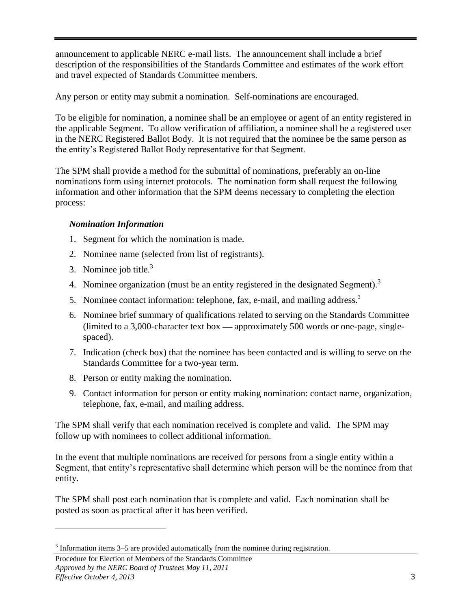announcement to applicable NERC e-mail lists. The announcement shall include a brief description of the responsibilities of the Standards Committee and estimates of the work effort and travel expected of Standards Committee members.

Any person or entity may submit a nomination. Self-nominations are encouraged.

To be eligible for nomination, a nominee shall be an employee or agent of an entity registered in the applicable Segment. To allow verification of affiliation, a nominee shall be a registered user in the NERC Registered Ballot Body. It is not required that the nominee be the same person as the entity's Registered Ballot Body representative for that Segment.

The SPM shall provide a method for the submittal of nominations, preferably an on-line nominations form using internet protocols. The nomination form shall request the following information and other information that the SPM deems necessary to completing the election process:

#### *Nomination Information*

- 1. Segment for which the nomination is made.
- 2. Nominee name (selected from list of registrants).
- 3. Nominee job title. $3$
- 4. Nominee organization (must be an entity registered in the designated Segment).<sup>3</sup>
- 5. Nominee contact information: telephone, fax, e-mail, and mailing address.<sup>3</sup>
- 6. Nominee brief summary of qualifications related to serving on the Standards Committee (limited to a 3,000-character text box  $-$  approximately 500 words or one-page, singlespaced).
- 7. Indication (check box) that the nominee has been contacted and is willing to serve on the Standards Committee for a two-year term.
- 8. Person or entity making the nomination.
- 9. Contact information for person or entity making nomination: contact name, organization, telephone, fax, e-mail, and mailing address.

The SPM shall verify that each nomination received is complete and valid. The SPM may follow up with nominees to collect additional information.

In the event that multiple nominations are received for persons from a single entity within a Segment, that entity's representative shall determine which person will be the nominee from that entity.

The SPM shall post each nomination that is complete and valid. Each nomination shall be posted as soon as practical after it has been verified.

 $\overline{a}$ 

 $3$  Information items 3–5 are provided automatically from the nominee during registration.

Procedure for Election of Members of the Standards Committee *Approved by the NERC Board of Trustees May 11, 2011 Effective October 4, 2013* 3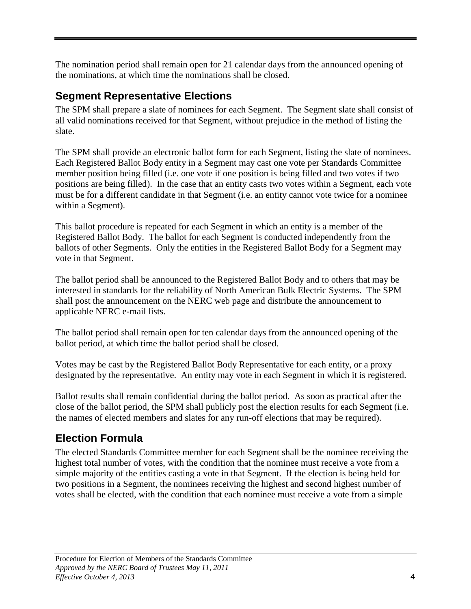The nomination period shall remain open for 21 calendar days from the announced opening of the nominations, at which time the nominations shall be closed.

#### <span id="page-5-0"></span>**Segment Representative Elections**

The SPM shall prepare a slate of nominees for each Segment. The Segment slate shall consist of all valid nominations received for that Segment, without prejudice in the method of listing the slate.

The SPM shall provide an electronic ballot form for each Segment, listing the slate of nominees. Each Registered Ballot Body entity in a Segment may cast one vote per Standards Committee member position being filled (i.e. one vote if one position is being filled and two votes if two positions are being filled). In the case that an entity casts two votes within a Segment, each vote must be for a different candidate in that Segment (i.e. an entity cannot vote twice for a nominee within a Segment).

This ballot procedure is repeated for each Segment in which an entity is a member of the Registered Ballot Body. The ballot for each Segment is conducted independently from the ballots of other Segments. Only the entities in the Registered Ballot Body for a Segment may vote in that Segment.

The ballot period shall be announced to the Registered Ballot Body and to others that may be interested in standards for the reliability of North American Bulk Electric Systems. The SPM shall post the announcement on the NERC web page and distribute the announcement to applicable NERC e-mail lists.

The ballot period shall remain open for ten calendar days from the announced opening of the ballot period, at which time the ballot period shall be closed.

Votes may be cast by the Registered Ballot Body Representative for each entity, or a proxy designated by the representative. An entity may vote in each Segment in which it is registered.

Ballot results shall remain confidential during the ballot period. As soon as practical after the close of the ballot period, the SPM shall publicly post the election results for each Segment (i.e. the names of elected members and slates for any run-off elections that may be required).

### <span id="page-5-1"></span>**Election Formula**

The elected Standards Committee member for each Segment shall be the nominee receiving the highest total number of votes, with the condition that the nominee must receive a vote from a simple majority of the entities casting a vote in that Segment. If the election is being held for two positions in a Segment, the nominees receiving the highest and second highest number of votes shall be elected, with the condition that each nominee must receive a vote from a simple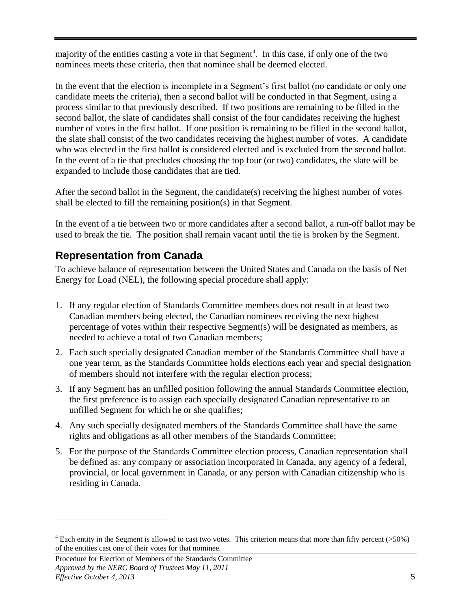majority of the entities casting a vote in that Segment<sup>4</sup>. In this case, if only one of the two nominees meets these criteria, then that nominee shall be deemed elected.

In the event that the election is incomplete in a Segment's first ballot (no candidate or only one candidate meets the criteria), then a second ballot will be conducted in that Segment, using a process similar to that previously described. If two positions are remaining to be filled in the second ballot, the slate of candidates shall consist of the four candidates receiving the highest number of votes in the first ballot. If one position is remaining to be filled in the second ballot, the slate shall consist of the two candidates receiving the highest number of votes. A candidate who was elected in the first ballot is considered elected and is excluded from the second ballot. In the event of a tie that precludes choosing the top four (or two) candidates, the slate will be expanded to include those candidates that are tied.

After the second ballot in the Segment, the candidate(s) receiving the highest number of votes shall be elected to fill the remaining position(s) in that Segment.

In the event of a tie between two or more candidates after a second ballot, a run-off ballot may be used to break the tie. The position shall remain vacant until the tie is broken by the Segment.

#### <span id="page-6-0"></span>**Representation from Canada**

To achieve balance of representation between the United States and Canada on the basis of Net Energy for Load (NEL), the following special procedure shall apply:

- 1. If any regular election of Standards Committee members does not result in at least two Canadian members being elected, the Canadian nominees receiving the next highest percentage of votes within their respective Segment(s) will be designated as members, as needed to achieve a total of two Canadian members;
- 2. Each such specially designated Canadian member of the Standards Committee shall have a one year term, as the Standards Committee holds elections each year and special designation of members should not interfere with the regular election process;
- 3. If any Segment has an unfilled position following the annual Standards Committee election, the first preference is to assign each specially designated Canadian representative to an unfilled Segment for which he or she qualifies;
- 4. Any such specially designated members of the Standards Committee shall have the same rights and obligations as all other members of the Standards Committee;
- 5. For the purpose of the Standards Committee election process, Canadian representation shall be defined as: any company or association incorporated in Canada, any agency of a federal, provincial, or local government in Canada, or any person with Canadian citizenship who is residing in Canada.

 $\overline{a}$ 

 $4$  Each entity in the Segment is allowed to cast two votes. This criterion means that more than fifty percent ( $>50\%$ ) of the entities cast one of their votes for that nominee.